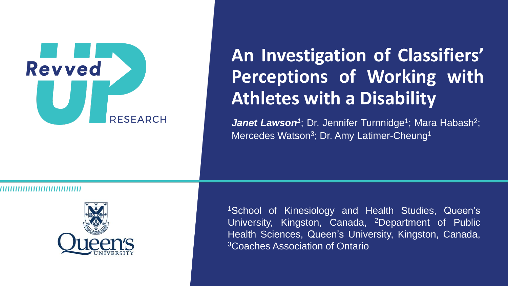

### **An Investigation of Classifiers' Perceptions of Working with Athletes with a Disability**

Janet Lawson<sup>1</sup>; Dr. Jennifer Turnnidge<sup>1</sup>; Mara Habash<sup>2</sup>; Mercedes Watson<sup>3</sup>; Dr. Amy Latimer-Cheung<sup>1</sup>



<sup>1</sup>School of Kinesiology and Health Studies, Queen's University, Kingston, Canada, <sup>2</sup>Department of Public Health Sciences, Queen's University, Kingston, Canada, <sup>3</sup>Coaches Association of Ontario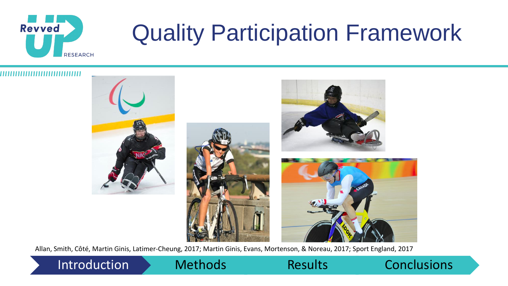

# Quality Participation Framework



Allan, Smith, Côté, Martin Ginis, Latimer-Cheung, 2017; Martin Ginis, Evans, Mortenson, & Noreau, 2017; Sport England, 2017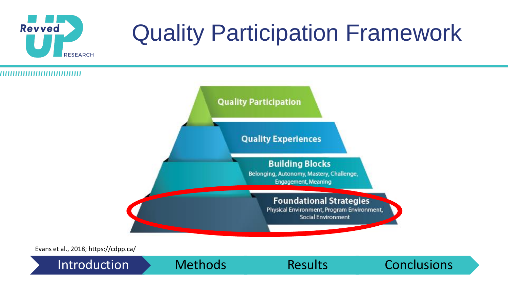

# Quality Participation Framework



Evans et al., 2018; https://cdpp.ca/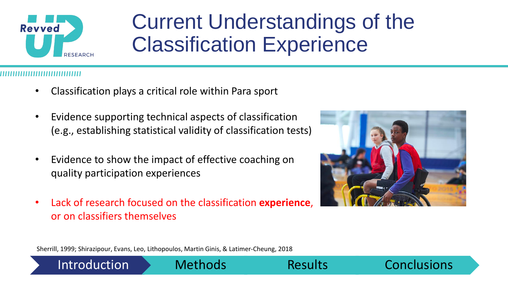

### Current Understandings of the Classification Experience

- Classification plays a critical role within Para sport
- Evidence supporting technical aspects of classification (e.g., establishing statistical validity of classification tests)
- Evidence to show the impact of effective coaching on quality participation experiences
- Lack of research focused on the classification **experience**, or on classifiers themselves



Sherrill, 1999; Shirazipour, Evans, Leo, Lithopoulos, Martin Ginis, & Latimer-Cheung, 2018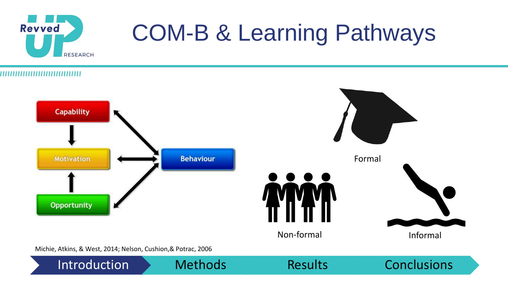

# COM-B & Learning Pathways

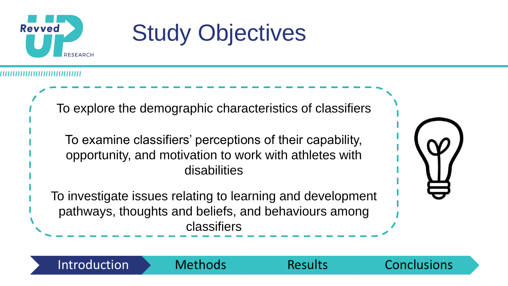

## Study Objectives

To explore the demographic characteristics of classifiers

To examine classifiers' perceptions of their capability, opportunity, and motivation to work with athletes with disabilities

To investigate issues relating to learning and development pathways, thoughts and beliefs, and behaviours among classifiers

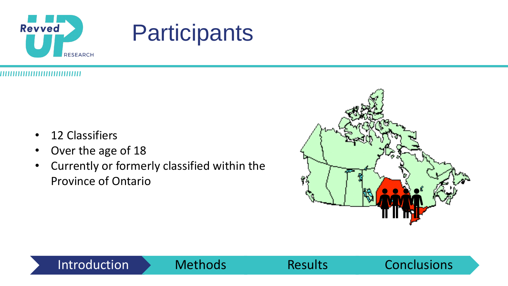



- 12 Classifiers
- Over the age of 18
- Currently or formerly classified within the Province of Ontario

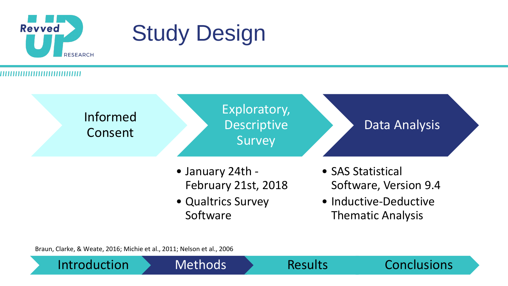

## Study Design



Braun, Clarke, & Weate, 2016; Michie et al., 2011; Nelson et al., 2006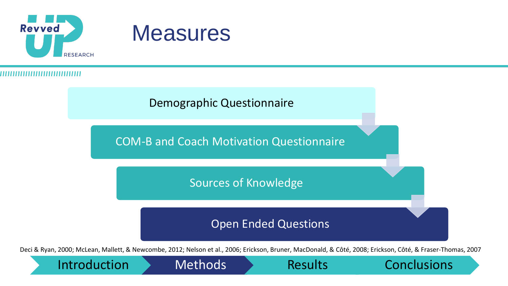





Deci & Ryan, 2000; McLean, Mallett, & Newcombe, 2012; Nelson et al., 2006; Erickson, Bruner, MacDonald, & Côté, 2008; Erickson, Côté, & Fraser-Thomas, 2007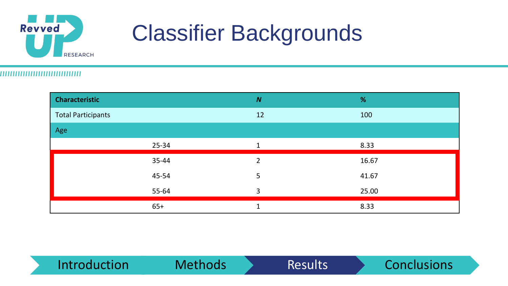

### ,,,,,,,,,,,,,,,,,,,,,,,,,,,,,,,

| <b>Characteristic</b>     |       | $\boldsymbol{N}$     | %     |
|---------------------------|-------|----------------------|-------|
| <b>Total Participants</b> |       | 12                   | 100   |
| Age                       |       |                      |       |
|                           | 25-34 | 1                    | 8.33  |
|                           | 35-44 | $\mathfrak{p}$       | 16.67 |
|                           | 45-54 | 5                    | 41.67 |
|                           | 55-64 | 3                    | 25.00 |
|                           | $65+$ | $\blacktriangleleft$ | 8.33  |



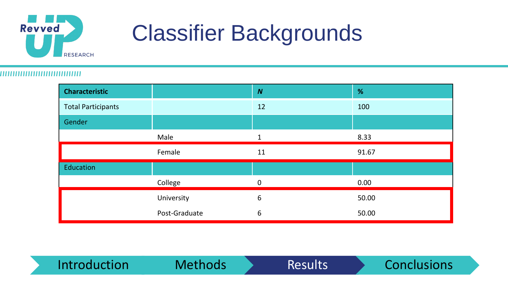

| <b>Characteristic</b>     |               | $\boldsymbol{N}$ | %     |
|---------------------------|---------------|------------------|-------|
| <b>Total Participants</b> |               | 12               | 100   |
| Gender                    |               |                  |       |
|                           | Male          | $\mathbf{1}$     | 8.33  |
|                           | Female        | 11               | 91.67 |
| Education                 |               |                  |       |
|                           | College       | 0                | 0.00  |
|                           | University    | 6                | 50.00 |
|                           | Post-Graduate | 6                | 50.00 |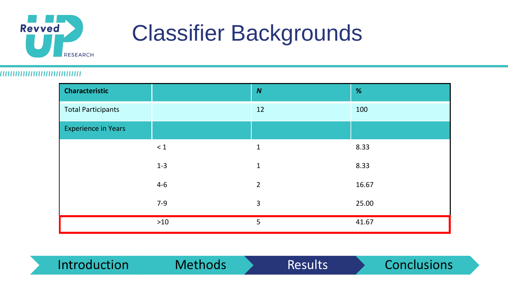

| <b>Characteristic</b>      |          | $\boldsymbol{N}$ | $\%$  |
|----------------------------|----------|------------------|-------|
| <b>Total Participants</b>  |          | 12               | 100   |
| <b>Experience in Years</b> |          |                  |       |
|                            | $\leq 1$ | $\mathbf{1}$     | 8.33  |
|                            | $1-3$    | $\mathbf{1}$     | 8.33  |
|                            | $4 - 6$  | $\overline{2}$   | 16.67 |
|                            | $7-9$    | $\mathbf{3}$     | 25.00 |
|                            | $>10$    | 5                | 41.67 |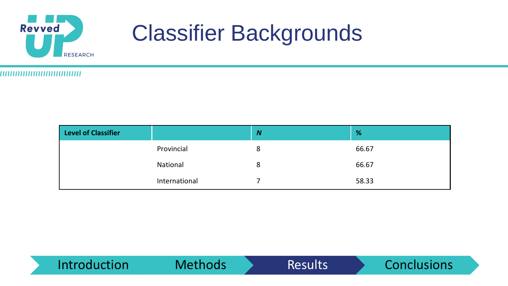

,,,,,,,,,,,,,,,,,,,,,,,,,,,,,,

| <b>Level of Classifier</b> |               | N | %     |
|----------------------------|---------------|---|-------|
|                            | Provincial    | 8 | 66.67 |
|                            | National      | 8 | 66.67 |
|                            | International |   | 58.33 |



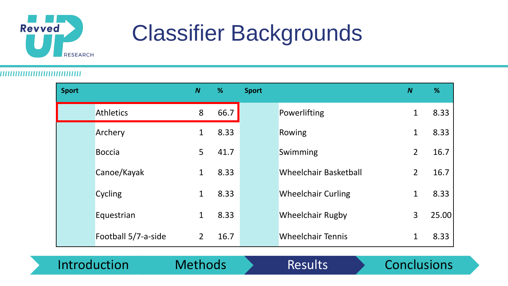

| <b>Sport</b> |                     | $\boldsymbol{N}$ | %    | <b>Sport</b> |                              | $\boldsymbol{N}$ | %     |
|--------------|---------------------|------------------|------|--------------|------------------------------|------------------|-------|
|              | <b>Athletics</b>    | 8                | 66.7 |              | Powerlifting                 | 1                | 8.33  |
|              | Archery             | 1                | 8.33 |              | Rowing                       | 1                | 8.33  |
|              | <b>Boccia</b>       | 5                | 41.7 |              | Swimming                     | 2                | 16.7  |
|              | Canoe/Kayak         | $\mathbf{1}$     | 8.33 |              | <b>Wheelchair Basketball</b> | $\overline{2}$   | 16.7  |
|              | Cycling             | 1                | 8.33 |              | <b>Wheelchair Curling</b>    | 1                | 8.33  |
|              | Equestrian          | 1                | 8.33 |              | <b>Wheelchair Rugby</b>      | 3                | 25.00 |
|              | Football 5/7-a-side | $\overline{2}$   | 16.7 |              | <b>Wheelchair Tennis</b>     |                  | 8.33  |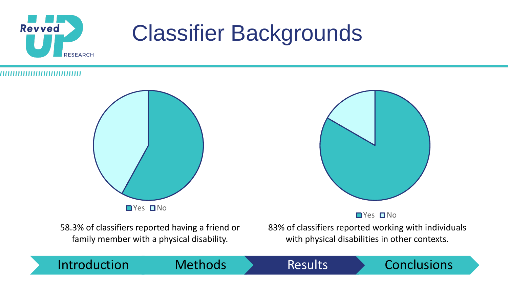





**O**Yes **O**No

58.3% of classifiers reported having a friend or family member with a physical disability.

83% of classifiers reported working with individuals with physical disabilities in other contexts.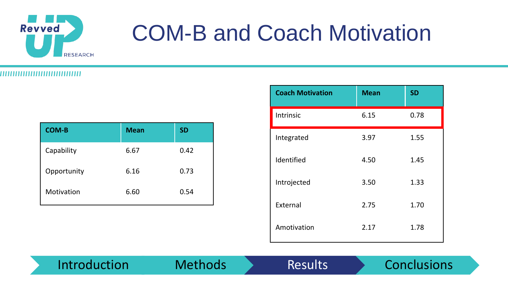

### COM-B and Coach Motivation

| <b>COM-B</b> | <b>Mean</b> | <b>SD</b> |
|--------------|-------------|-----------|
| Capability   | 6.67        | 0.42      |
| Opportunity  | 6.16        | 0.73      |
| Motivation   | 6.60        | 0.54      |

| <b>Coach Motivation</b> | <b>Mean</b> | <b>SD</b> |
|-------------------------|-------------|-----------|
| Intrinsic               | 6.15        | 0.78      |
| Integrated              | 3.97        | 1.55      |
| Identified              | 4.50        | 1.45      |
| Introjected             | 3.50        | 1.33      |
| External                | 2.75        | 1.70      |
| Amotivation             | 2.17        | 1.78      |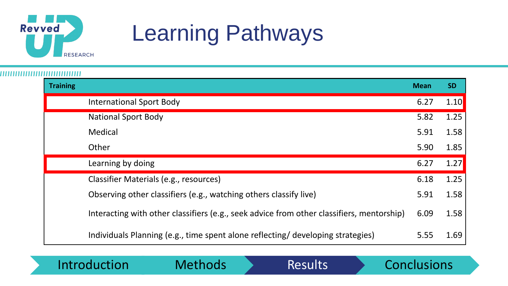

### Learning Pathways

### ,,,,,,,,,,,,,,,,,,,,,,,,,,,,,,,

| <b>Training</b> |                                                                                           | <b>Mean</b> | <b>SD</b> |
|-----------------|-------------------------------------------------------------------------------------------|-------------|-----------|
|                 | <b>International Sport Body</b>                                                           | 6.27        | 1.10      |
|                 | <b>National Sport Body</b>                                                                | 5.82        | 1.25      |
|                 | Medical                                                                                   | 5.91        | 1.58      |
|                 | Other                                                                                     | 5.90        | 1.85      |
|                 | Learning by doing                                                                         | 6.27        | 1.27      |
|                 | Classifier Materials (e.g., resources)                                                    | 6.18        | 1.25      |
|                 | Observing other classifiers (e.g., watching others classify live)                         | 5.91        | 1.58      |
|                 | Interacting with other classifiers (e.g., seek advice from other classifiers, mentorship) | 6.09        | 1.58      |
|                 | Individuals Planning (e.g., time spent alone reflecting/ developing strategies)           | 5.55        | 1.69      |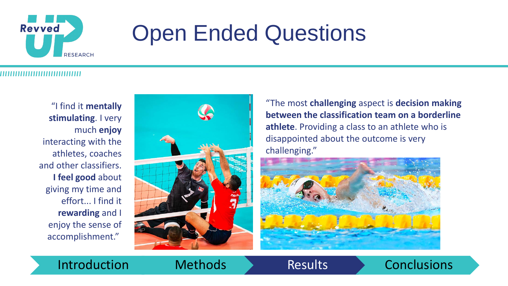

### Open Ended Questions

"I find it **mentally stimulating**. I very much **enjoy** interacting with the athletes, coaches and other classifiers. **I feel good** about giving my time and effort... I find it **rewarding** and I enjoy the sense of accomplishment."



"The most **challenging** aspect is **decision making between the classification team on a borderline athlete**. Providing a class to an athlete who is disappointed about the outcome is very challenging."

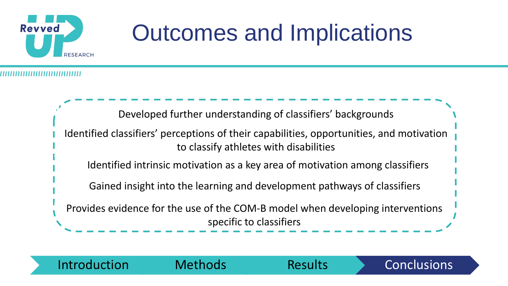

### Outcomes and Implications

**1 2 3** Developed further understanding of classifiers' backgrounds Gained insight into the learning and development pathways of classifiers Identified classifiers' perceptions of their capabilities, opportunities, and motivation to classify athletes with disabilities Identified intrinsic motivation as a key area of motivation among classifiers Provides evidence for the use of the COM-B model when developing interventions specific to classifiers